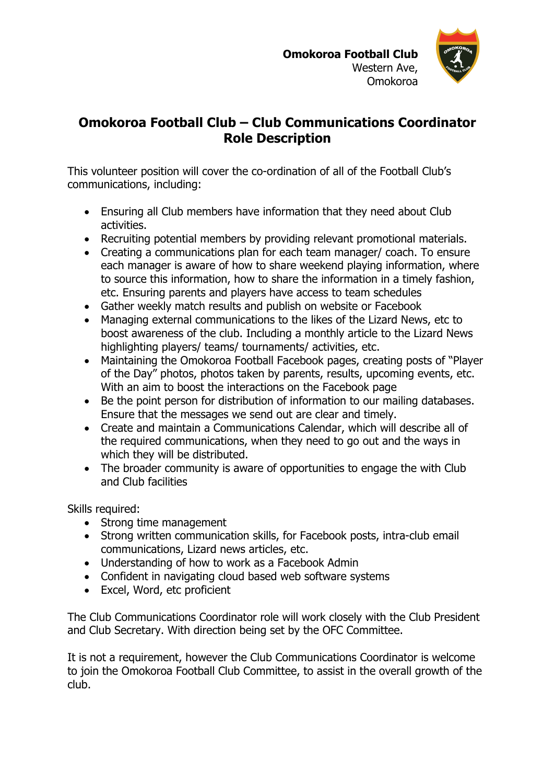

## **Omokoroa Football Club – Club Communications Coordinator Role Description**

This volunteer position will cover the co-ordination of all of the Football Club's communications, including:

- Ensuring all Club members have information that they need about Club activities.
- Recruiting potential members by providing relevant promotional materials.
- Creating a communications plan for each team manager/ coach. To ensure each manager is aware of how to share weekend playing information, where to source this information, how to share the information in a timely fashion, etc. Ensuring parents and players have access to team schedules
- Gather weekly match results and publish on website or Facebook
- Managing external communications to the likes of the Lizard News, etc to boost awareness of the club. Including a monthly article to the Lizard News highlighting players/ teams/ tournaments/ activities, etc.
- Maintaining the Omokoroa Football Facebook pages, creating posts of "Player of the Day" photos, photos taken by parents, results, upcoming events, etc. With an aim to boost the interactions on the Facebook page
- Be the point person for distribution of information to our mailing databases. Ensure that the messages we send out are clear and timely.
- Create and maintain a Communications Calendar, which will describe all of the required communications, when they need to go out and the ways in which they will be distributed.
- The broader community is aware of opportunities to engage the with Club and Club facilities

Skills required:

- Strong time management
- Strong written communication skills, for Facebook posts, intra-club email communications, Lizard news articles, etc.
- Understanding of how to work as a Facebook Admin
- Confident in navigating cloud based web software systems
- Excel, Word, etc proficient

The Club Communications Coordinator role will work closely with the Club President and Club Secretary. With direction being set by the OFC Committee.

It is not a requirement, however the Club Communications Coordinator is welcome to join the Omokoroa Football Club Committee, to assist in the overall growth of the club.